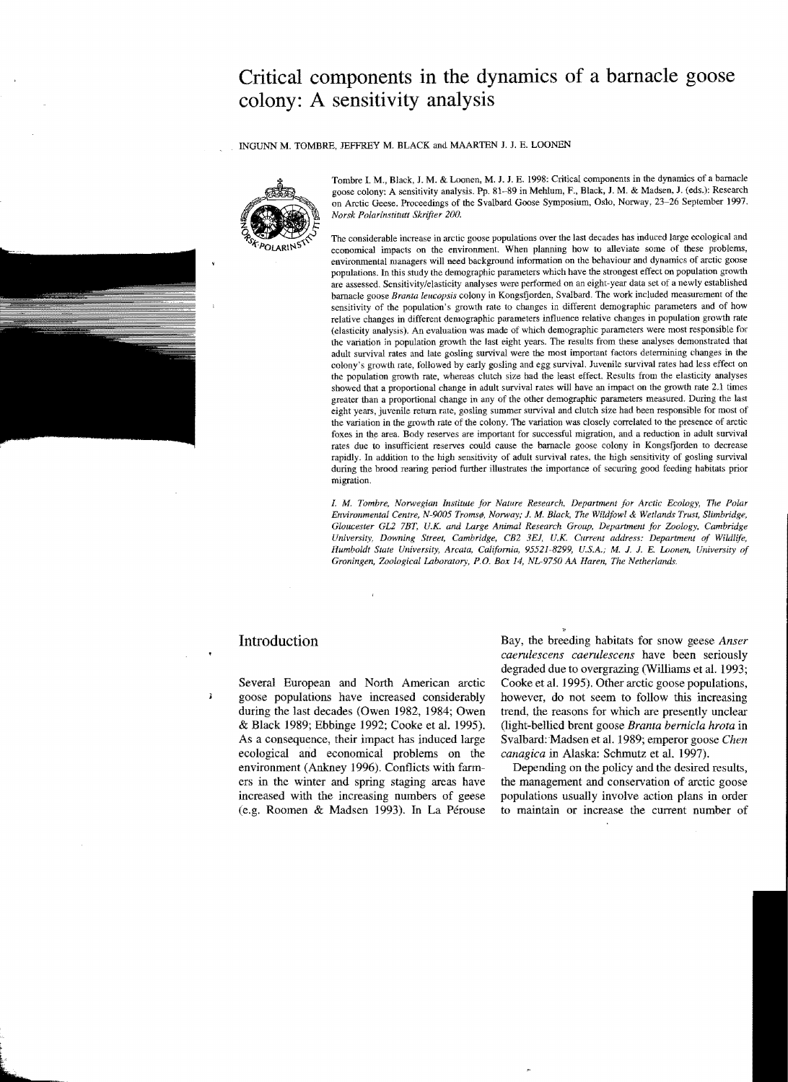# **Critical components in the dynamics of a barnacle goose colony: A sensitivity analysis**

#### INGUNN M. TOMBRE, JEFFREY M. BLACK and MAARTEN J. J. E. LOONEN



Tombre L M., Black, J. M. & Loonen, M. J. J. E. 1998: Critical components in the dynamics of a barnacle goose colony: A sensitivity analysis. pp. 81-89 in Mehlum, F., Black, J. M. & Madsen, J. (eds.): Research on Arctic Geese. Proceedings of the Svalbard Goose Symposium, Oslo, Norway, 23-26 September 1997. *Norsk Polarinstitutt Skrijter 200.* 

The considerable increase in arctic goose populations over the last decades has induced large ecological and economical impacts on the environment. When planning how to alleviate some of these problems, environmental managers will need background information on the behaviour and dynamics of arctic goose populations. **In** this study the demographic parameters which have the strongest effect on population growth are assessed. Sensitivity/elasticity analyses were performed on an eight-year data set of a newly established barnacle goose *Branta leucopsis* colony in Kongsfjorden, Svalbard. The work included measurement of the sensitivity of the population's growth rate to changes in different demographic parameters and of how relative changes in different demographic parameters influence relative changes in population growth rate (elasticity analysis). An evaluation was made of which demographic parameters were most responsible for the variation in population growth the last eight years. The results from these analyses demonstrated that adult survival rates and late gosling survival were the most important factors determining changes in the colony's growth rate, followed by early gosling and egg survival. Juvenile survival rates had less effect on the population growth rate, whereas clutch size had the least effect. Results from the elasticity analyses showed that a proportional change in adult survival rates will have an impact on the growth rate 2.1 times greater than a proportional change in any of the other demographic parameters measured. During the last eight years, juvenile return rate, gosling summer survival and clutch size had heen responsible for most of the variation in the growth rate of the colony. The variation was closely correlated to the presence of arctic foxes in the area. Body reserves are important for successful migration, and a reduction in adult survival rates due to insufficient reserves could cause the barnacle goose colony in Kongsfjorden to decrease rapidly. In addition to the high sensitivity of adult survival rates, the high sensitivity of gosling survival during the brood rearing period further illustrates the importance of securing good feeding habitats prior migration.

I. *M. Tombre, Norwegian Institute for Nature Research, Department for Arctic Ecology, 11le Polar Environmental Centre, N-9005 Troms¢. Norway; l. M. Black, The Wildfowl* & *Wetlands Trust, Slimbridge, Gloucester GL2 7BT, U.K. and Large Animal Research Group, Department for Zoology, Cambridge University. Downing Street, Cambridge, CB2 3El, U.K Current address: Department of Wildlife, Humboldt State University, Arcata, California,* 95521-8299, *U.s.A.; M. l. l.* E. *Loonen, University of*  Groningen, Zoological Laboratory, P.O. Box 14, NL-9750 AA Haren, The Netherlands.

### **Introduction**

ì

Several European and North American arctic goose populations have increased considerably during the last decades (Owen 1982, 1984; Owen & Black 1989; Ebbinge 1992; Cooke et al. 1995). As a consequence, their impact has induced large ecological and economical problems on the environment (Ankney 1996). Conflicts with farmers in the winter and spring staging areas have increased with the increasing numbers of geese (e.g. Roomen & Madsen 1993). In La Pérouse Bay, the breeding habitats for snow geese *Anser caerulescens caerulescens* have been seriously degraded due to overgrazing (Williams et al. 1993; Cooke et al. 1995). Other arctic goose populations, however, do not seem to follow this increasing trend, the reasons for which are presently unclear (light-bellied brent goose *Branta bernicla hrota* in Svalbard: Madsen et al. 1989; emperor goose *Chen canagica* in Alaska: Schmutz et al. 1997).

Depending on the policy and the desired results, the management and conservation of arctic goose populations usually involve action plans in order to maintain or increase the current number of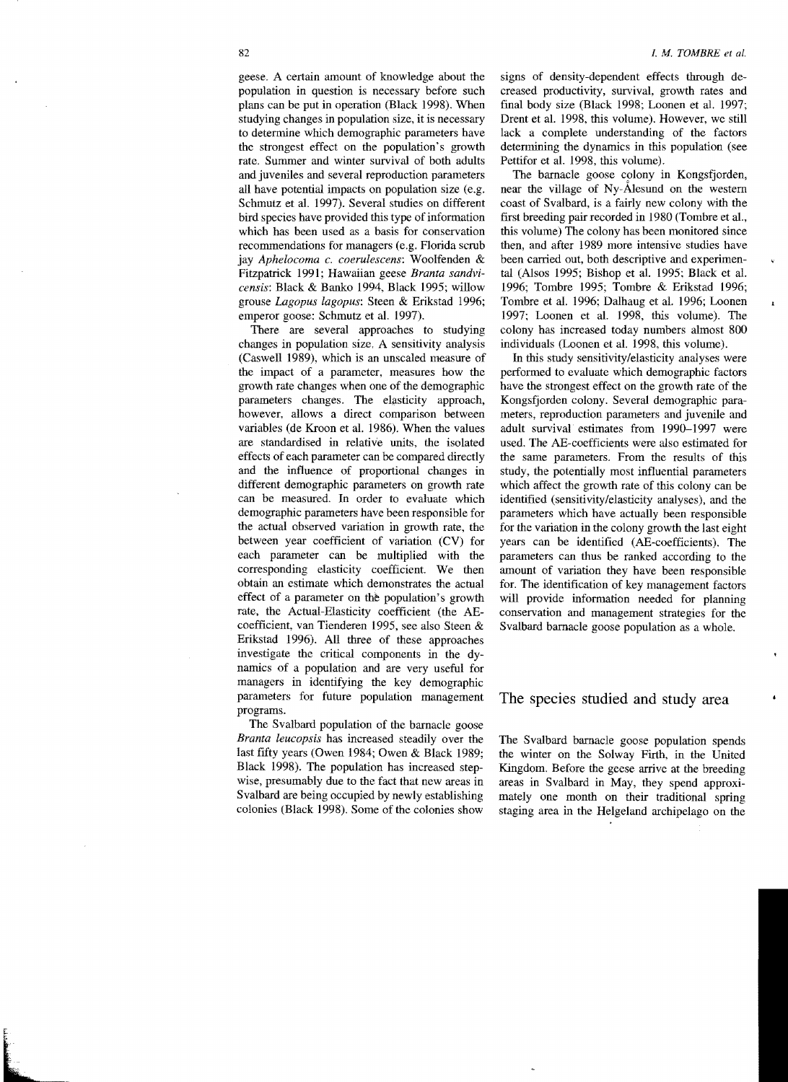$\mathbf{r}$ 

geese. A certain amount of knowledge about the popUlation in question is necessary before such plans can be put in operation (Black 1998). When studying changes in population size, it is necessary to determine which demographic parameters have the strongest effect on the population's growth rate. Summer and winter survival of both adults and juveniles and several reproduction parameters all have potential impacts on population size (e.g. Schmutz et al. 1997). Several studies on different bird species have provided this type of information which has been used as a basis for conservation recommendations for managers (e.g. Florida scrub jay *Aphelocoma c. coerulescens:* Woolfenden & Fitzpatrick 1991; Hawaiian geese *Branta sandvicensis:* Black & Banko 1994, Black 1995; willow grouse *Lagopus lagopus*: Steen & Erikstad 1996; emperor goose: Schmutz et al. 1997).

There are several approaches to studying changes in population size. A sensitivity analysis (Caswell 1989), which is an unscaled measure of the impact of a parameter, measures how the growth rate changes when one of the demographic parameters changes. The elasticity approach, however, allows a direct comparison between variables (de Kroon et al. 1986). When the values are standardised in relative units, the isolated effects of each parameter can be compared directly and the influence of proportional changes in different demographic parameters on growth rate can be measured. In order to evaluate which demographic parameters have been responsible for the actual observed variation in growth rate, the between year coefficient of variation (CV) for each parameter can be multiplied with the corresponding elasticity coefficient. We then obtain an estimate which demonstrates the actual effect of a parameter on the population's growth rate, the Actual-Elasticity coefficient (the AEcoefficient, van Tienderen 1995, see also Steen & Erikstad 1996). All three of these approaches investigate the critical components in the dynamics of a population and are very useful for managers in identifying the key demographic parameters for future population management programs.

The Svalbard population of the barnacle goose *Branta leucopsis* has increased steadily over the last fifty years (Owen 1984; Owen & Black 1989; Black 1998). The population has increased stepwise, presumably due to the fact that new areas in Svalbard are being occupied by newly establishing colonies (Black 1998). Some of the colonies show

signs of density-dependent effects through decreased productivity, survival, growth rates and final body size (Black 1998; Loonen et al. 1997; Drent et al. 1998, this volume). However, we still lack a complete understanding of the factors determining the dynamics in this population (see Pettifor et al. 1998, this volume).

The barnacle goose colony in Kongsfjorden, near the village of Ny-AIesund on the western coast of Svalbard, is a fairly new colony with the first breeding pair recorded in 1980 (Tombre et al., this volume) The colony has been monitored since then, and after 1989 more intensive studies have been carried out, both descriptive and experimental (Alsos 1995; Bishop et al. 1995; Black et al. 1996; Tombre 1995; Tombre & Erikstad 1996; Tombre et al. 1996; Dalhaug et al. 1996; Loonen 1997; Loonen et al. 1998, this volume). The colony has increased today numbers almost 800 individuals (Loonen et al. 1998, this volume).

In this study sensitivity/elasticity analyses were performed to evaluate which demographic factors have the strongest effect on the growth rate of the Kongsfjorden colony. Several demographic parameters, reproduction parameters and juvenile and adult survival estimates from 1990-1997 were used. The AE-coefficients were also estimated for the same parameters. From the results of this study, the potentially most influential parameters which affect the growth rate of this colony can be identified (sensitivity/elasticity analyses), and the parameters which have actually been responsible for the variation in the colony growth the last eight years can be identified (AE-coefficients). The parameters can thus be ranked according to the amount of variation they have been responsible for. The identification of key management factors will provide information needed for planning conservation and management strategies for the Svalbard barnacle goose population as a whole.

## The species studied and study area

The Svalbard barnacle goose population spends the winter on the Solway Firth, in the United Kingdom. Before the geese arrive at the breeding areas in Svalbard in May, they spend approximately one month on their traditional spring staging area in the Helgeland archipelago on the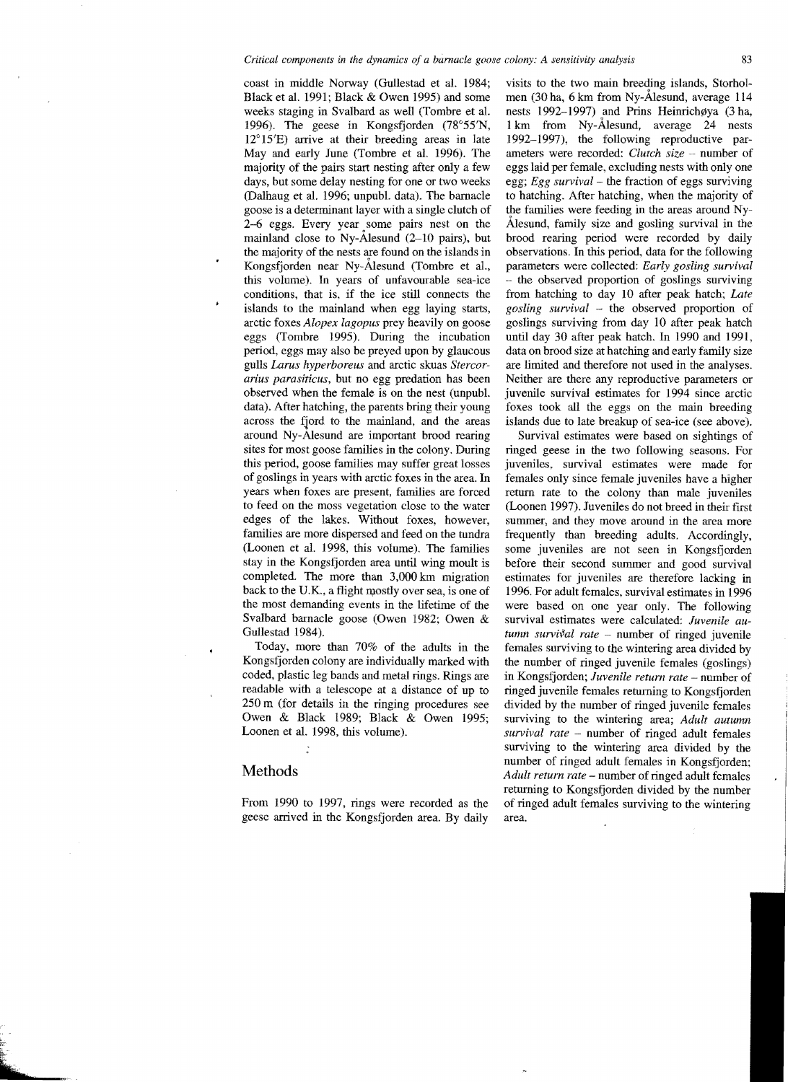coast in middle Norway (Gullestad et aL 1984; Black et al. 1991; Black & Owen 1995) and some weeks staging in Svalbard as well (Tombre et al. 1996). The geese in Kongsfjorden (78°55'N, 12°15'E) arrive at their breeding areas in late May and early June (Tombre et al. 1996). The majority of the pairs start nesting after only a few days, but some delay nesting for one or two weeks (Dalhaug et aL 1996; unpubl. data). The barnacle goose is a determinant layer with a single clutch of 2-6 eggs. Every year some pairs nest on the mainland close to Ny-Alesund (2-10 pairs), but the majority of the nests are found on the islands in Kongsfjorden near Ny-Alesund (Tombre et al., this volume). In years of unfavourable sea-ice conditions, that is, if the ice still connects the islands to the mainland when egg laying starts, arctic foxes *Alopex lagopus* prey heavily on goose eggs (Tombre 1995). During the incubation period, eggs may also be preyed upon by glaucous gulls *Larus hyperboreus* and arctic skuas *Stercorarius parasiticus,* but no egg predation has been observed when the female is on the nest (unpubl. data). After hatching, the parents bring their young across the fjord to the mainland, and the areas around Ny-Alesund are important brood rearing sites for most goose families in the colony. During this period, goose families may suffer great losses of goslings in years with arctic foxes in the area. In years when foxes are present, families are forced to feed on the moss vegetation close to the water edges of the lakes. Without foxes, however, families are more dispersed and feed on the tundra (Loonen et al. 1998, this volume). The families stay in the Kongsfjorden area until wing moult is completed. The more than  $3,000$  km migration back to the U.K., a flight mostly over sea, is one of the most demanding events in the lifetime of the Svalbard barnacle goose (Owen 1982; Owen & Gullestad 1984).

Today, more than 70% of the adults in the Kongsfjorden colony are individually marked with coded, plastic leg bands and metal rings. Rings are readable with a telescope at a distance of up to 250 m (for details in the ringing procedures see Owen & Black 1989; Black & Owen 1995; Loonen et al. 1998, this volume).

#### Methods

From 1990 to 1997, rings were recorded as the geese arrived in the Kongsfjorden area. By daily

visits to the two main breeding islands, Storholmen (30 ha, 6 km from Ny-Ålesund, average 114 nests  $1992-1997$ ) and Prins Heinrichøya (3 ha, 1 km from Ny-Ålesund, average 24 nests 1992-1997), the following reproductive parameters were recorded: *Clutch size* – number of eggs laid per female, excluding nests with only one egg; *Egg survival* - the fraetion of eggs surviving to hatching. After hatching, when the majority of the families were feeding in the areas around Ny-Alesund, family size and gosling survival in the brood rearing period were recorded by daily observations. In this period, data for the following parameters were collected: *Early gosling survival*  - the observed proportion of goslings surviving from hatching to day 10 after peak hatch; *Late*  gosling survival - the observed proportion of goslings surviving from day 10 after peak hatch until day 30 after peak hatch. In 1990 and 1991, data on brood size at hatching and early family size are limited and therefore not used in the analyses. Neither are there any rcproductive parameters or juvenile survival estimates for 1994 since arctic foxes took all the eggs on the main breeding islands due to late breakup of sea-ice (see above).

Survival estimates were based on sightings of ringed geese in the two following seasons. For juveniles, survival estimates were made for females only since female juveniles have a higher return rate to the colony than male juveniles (Loonen 1997). Juveniles do not breed in their first summer, and they move around in the area more frequently than breeding adults. Accordingly, some juveniles are not seen in Kongsfjorden before their second summer and good survival estimates for juveniles are therefore lacking in 1996. For adult females, survival estimates in 1996 were based on one year only. The following survival estimates were calculated: *Juvenile autumn survival rate – number of ringed juvenile* females surviving to the wintering area divided by the number of ringed juvenile females (goslings) in Kongsfjorden; *Juvenile return rate* - number of ringed juvenile females returning to Kongsfjorden divided by the number of ringed juvenile females surviving to the wintering area; *Adult autumn survival rate* - number of ringed adult females surviving to the wintering area divided by the number of ringed adult females in Kongsfjorden; *Adult return rate* number of ringed adult females returning to Kongsfjorden divided by the number of ringed adult females surviving to the wintering area.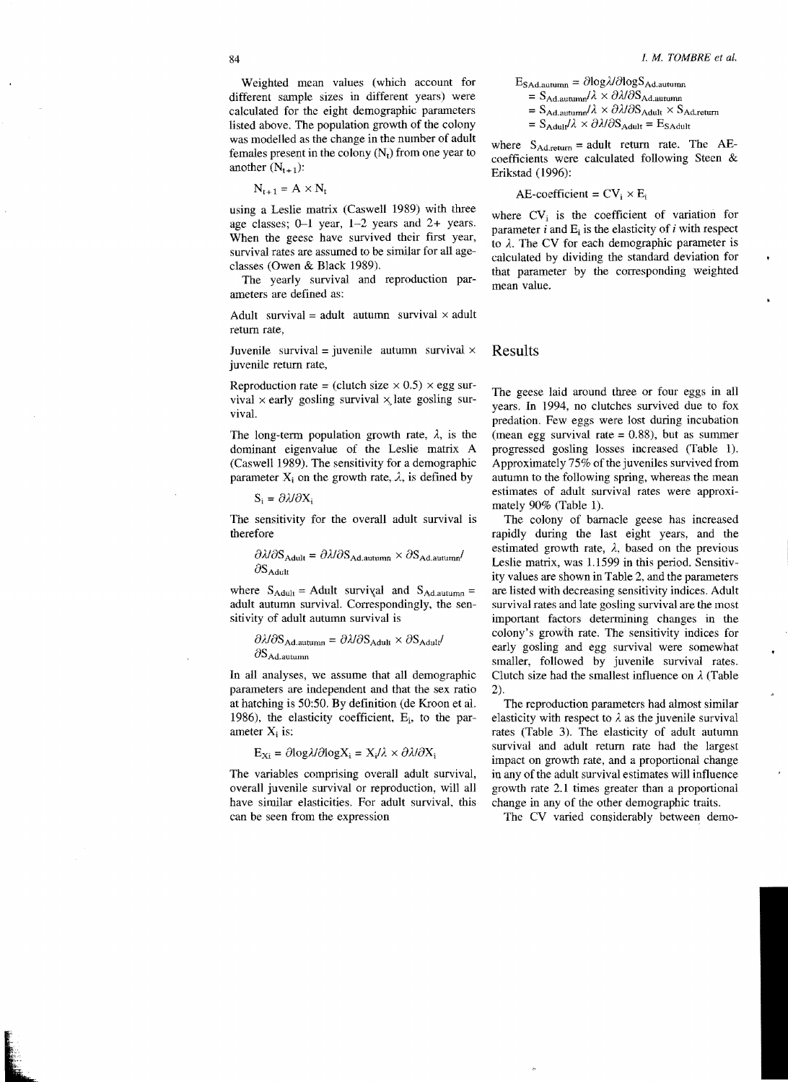Weighted mean values (which account for different sample sizes in different years) were calculated for the eight demographic parameters listed above. The population growth of the colony was modelled as the change in the number of adult females present in the colony  $(N_t)$  from one year to another  $(N_{t+1})$ :

$$
N_{t+1} = A \times N_t
$$

using a Leslie matrix (Caswell 1989) with three age classes; 0-1 year, 1-2 years and 2+ years. When the geese have survived their first year, survival rates are assumed to be similar for all ageclasses (Owen & Black 1989).

The yearly survival and reproduction parameters are defined as:

Adult survival = adult autumn survival  $\times$  adult return rate,

Juvenile survival = juvenile autumn survival  $\times$ juvenile return rate,

Reproduction rate = (clutch size  $\times$  0.5)  $\times$  egg survival  $\times$  early gosling survival  $\times$  late gosling survival.

The long-term population growth rate,  $\lambda$ , is the dominant eigenvalue of the Leslie matrix A (Caswell 1989). The sensitivity for a demographic parameter  $X_i$  on the growth rate,  $\lambda$ , is defined by

$$
S_i = \partial \lambda / \partial X_i
$$

The sensitivity for the overall adult survival is therefore

 $\partial\lambda/\partial S_{\text{Adult}} = \partial\lambda/\partial S_{\text{Ad.}a}$ utumn  $\times \partial S_{\text{Ad.}a}$ utumn  $\partial S_{\text{Adult}}$ 

where  $S_{\text{Adult}} =$  Adult survival and  $S_{\text{Ad.}}$ <sub>autumn</sub> = adult autumn survival. Correspondingly, the sensitivity of adult autumn survival is

$$
\partial \lambda/\partial S_{\text{Ad.autumn}} = \partial \lambda/\partial S_{\text{Adult}} \times \partial S_{\text{Adult}} / \partial S_{\text{Ad.aitumn}}
$$

**In** all analyses, we assume that all demographic parameters are independent and that the sex ratio at hatching is 50:50. By definition (de Kroon et al. 1986), the elasticity coefficient,  $E_i$ , to the parameter  $X_i$  is:

$$
E_{Xi} = \partial \log \lambda / \partial \log X_i = X_i / \lambda \times \partial \lambda / \partial X_i
$$

The variables comprising overall adult survival, overall juvenile survival or reproduction, will all have similar elasticities. For adult survival, this can be seen ftom the expression

$$
\begin{aligned} E_{SAd,autumn} &= \partial log\lambda/\partial logS_{Ad,autumn} \\ &= S_{Ad,autumn}/\lambda \times \partial \lambda/\partial S_{Ad,autumn} \\ &= S_{Ad,autumn}/\lambda \times \partial \lambda/\partial S_{Adult} \times S_{Ad,return} \\ &= S_{Adult}/\lambda \times \partial \lambda/\partial S_{Adult} = E_{SAdult} \end{aligned}
$$

where  $S_{\text{Ad}\text{-}return} =$  adult return rate. The AEcoefficients were calculated following Steen & Erikstad (1996):

AE-coefficient =  $CV_i \times E_i$ 

where  $CV_i$  is the coefficient of variation for parameter  $i$  and  $E_i$  is the elasticity of  $i$  with respect to  $\lambda$ . The CV for each demographic parameter is calculated by dividing the standard deviation for that parameter by the corresponding weighted mean value.

#### Results

The geese laid around three or four eggs in all years. In 1994, no clutches survived due to fox predation. Few eggs were lost during incubation (mean egg survival rate  $= 0.88$ ), but as summer progressed gosling losses increased (Table 1). Approximately 75% of the juveniles survived from autumn to the following spring, whereas the mean estimates of adult survival rates were approximately 90% (Table 1).

The colony of barnacle geese has increased rapidly during the last eight years, and the estimated growth rate,  $\lambda$ , based on the previous Leslie matrix, was 1.1599 in this period. Sensitivity values are shown in Table 2, and the parameters are listed with decreasing sensitivity indices. Adult survival rates and late gosling survival are the most important factors determining changes in the colony's growth rate. The sensitivity indices for early gosling and egg survival were somewhat smaller, followed by juvenile survival rates. Clutch size had the smallest influence on  $\lambda$  (Table 2).

The reproduction parameters had almost similar elasticity with respect to  $\lambda$  as the juvenile survival rates (Table 3). The elasticity of adult autumn survival and adult return rate had the largest impact on growth rate, and a proportional change in any of the adult survival estimates will influence growth rate 2.1 times greater than a proportional change in any of the other demographic traits.

The CV varied considerably between demo-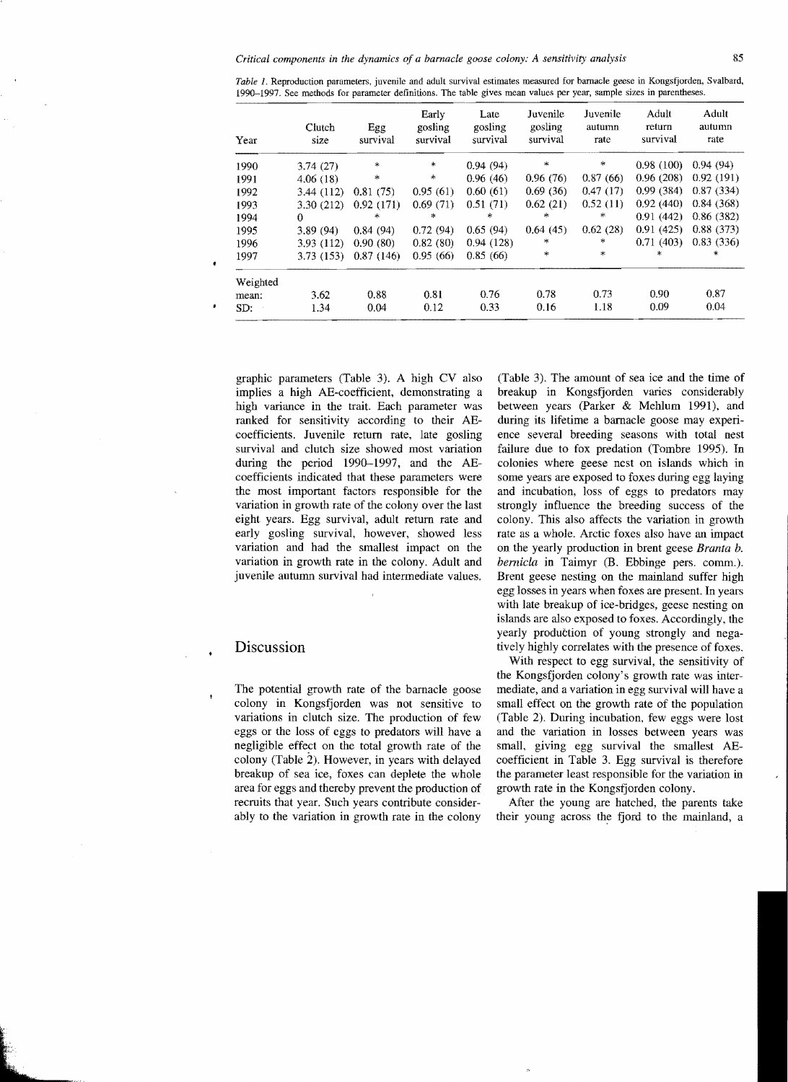| Year     | Clutch<br>size | Egg<br>survival | Early<br>gosling<br>survival | Late<br>gosling<br>survival | Juvenile<br>gosling<br>survival | Juvenile<br>autumn<br>rate | Adult<br>return<br>survival | Adult<br>autumn<br>rate |
|----------|----------------|-----------------|------------------------------|-----------------------------|---------------------------------|----------------------------|-----------------------------|-------------------------|
| 1990     | 3.74(27)       | *               | *                            | 0.94(94)                    | *                               | $\ast$                     | 0.98(100)                   | 0.94(94)                |
| 1991     | 4.06(18)       | *               | $\approx$                    | 0.96(46)                    | 0.96(76)                        | 0.87(66)                   | 0.96(208)                   | 0.92(191)               |
| 1992     | 3.44(112)      | 0.81(75)        | 0.95(61)                     | 0.60(61)                    | 0.69(36)                        | 0.47(17)                   | 0.99(384)                   | 0.87(334)               |
| 1993     | 3.30(212)      | 0.92(171)       | 0.69(71)                     | 0.51(71)                    | 0.62(21)                        | 0.52(11)                   | 0.92(440)                   | 0.84(368)               |
| 1994     | 0              | *               | *                            | ÷                           | $\ast$                          | ∗                          | 0.91(442)                   | 0.86(382)               |
| 1995     | 3.89(94)       | 0.84(94)        | 0.72(94)                     | 0.65(94)                    | 0.64(45)                        | 0.62(28)                   | 0.91(425)                   | 0.88(373)               |
| 1996     | 3.93(112)      | 0.90(80)        | 0.82(80)                     | 0.94(128)                   | $\ast$                          | *                          | 0.71(403)                   | 0.83(336)               |
| 1997     | 3.73(153)      | 0.87(146)       | 0.95(66)                     | 0.85(66)                    | $\ast$                          | $\ast$                     | $\ast$                      | *                       |
| Weighted |                |                 |                              |                             |                                 |                            |                             |                         |
| mean:    | 3.62           | 0.88            | 0.81                         | 0.76                        | 0.78                            | 0.73                       | 0.90                        | 0.87                    |
| SD:      | 1.34           | 0.04            | 0.12                         | 0.33                        | 0.16                            | 1.18                       | 0.09                        | 0.04                    |

Table 1. Reproduction parameters, juvenile and adult survival estimates measured for barnacle geese in Kongsfjorden, Svalbard, 1990-1997. See methods for parameter definitions. The table gives mean values per year, sample sizes in parentheses.

graphic parameters (Table 3). A high CV also implies a high AE-coefficient, demonstrating a high variance in the trait. Each parameter was ranked for sensitivity according to their AEcoefficients. Juvenile return rate, late gosling survival and clutch size showed most variation during the period 1990-1997, and the AEcoefficients indicated that these parameters were the most important factors responsible for the variation in growth rate of the colony over the last eight years. Egg survival, adult return rate and early gosling survival, however, showed less variation and had the smallest impact on the variation in growth rate in the colony. Adult and juvenile autumn survival had intermediate values.

## Discussion

ţ

×

The potential growth rate of the barnacle goose colony in Kongsfjorden was not sensitive to variations in clutch size. The production of few eggs or the loss of eggs to predators will have a negligible effect on the total growth rate of the colony (Table 2). However, in years with delayed breakup of sea ice, foxes can deplete the whole area for eggs and thereby prevent the production of recruits that year. Such years contribute considerably to the variation in growth rate in the colony

(Table 3). The amount of sea ice and the time of breakup in Kongsfjorden varies considerably between years (Parker & Mehlum 1991), and during its lifetime a barnacle goose may experience several breeding seasons with total nest failure due to fox predation (Tombre 1995). In colonies where geese nest on islands which in some years are exposed to foxes during egg laying and incubation, loss of eggs to predators may strongly influence the breeding success of the colony. This also affects the variation in growth rate as a whole. Arctic foxes also have an impact on the yearly production in brent geese *Branta b. bemicla* in Taimyr (B. Ebbinge pers. comm.). Brent geese nesting on the mainland suffer high egg losses in years when foxes are present. In years with late breakup of ice-bridges, geese nesting on islands are also exposed to foxes. Accordingly, the yearly production of young strongly and negatively highly correlates with the presence of foxes.

With respect to egg survival, the sensitivity of the Kongsfjorden colony's growth rate was intermediate, and a variation in egg survival will have a small effect on the growth rate of the population (Table 2). During incubation, few eggs were lost and the variation in losses between years was small, giving egg survival the smallest AEcoefficient in Table 3. Egg survival is therefore the parameter least responsible for the variation in growth rate in the Kongsfjorden colony.

After the young are hatched, the parents take their young across the fjord to the mainland, a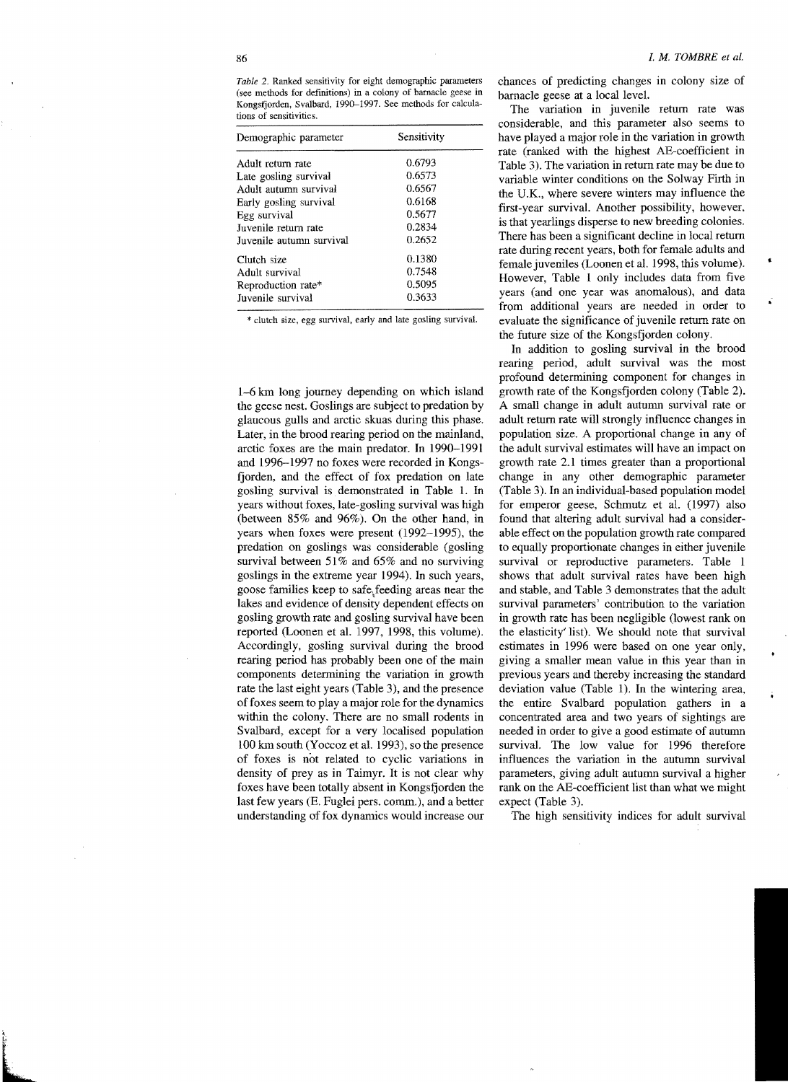*Table* 2, Ranked sensitivity for eight demographic parameters (see methods for definitions) in a colony of barnacle geese in Kongsfjorden, Svalbard, 1990-1997, See methods for calculations of sensitivities,

| Demographic parameter    | Sensitivity |  |
|--------------------------|-------------|--|
| Adult return rate        | 0.6793      |  |
| Late gosling survival    | 0.6573      |  |
| Adult autumn survival    | 0.6567      |  |
| Early gosling survival   | 0.6168      |  |
| Egg survival             | 0.5677      |  |
| Juvenile return rate     | 0.2834      |  |
| Juvenile autumn survival | 0.2652      |  |
| Clutch size              | 0.1380      |  |
| Adult survival           | 0.7548      |  |
| Reproduction rate*       | 0.5095      |  |
| Invenile survival        | 0.3633      |  |

\* clutch size, egg survival, early and late gosling survival.

1-6 km long journey depending on which island the geese nest. Goslings are subject to predation by glaucous gulls and arctic skuas during this phase. Later, in the brood rearing period on the mainland, arctic foxes are the main predator. In 1990-1991 and 1996-1997 no foxes were recorded in Kongsfjorden, and the effect of fox predation on late gosling survival is demonstrated in Table 1. In years without foxes, late-gosling survival was high (between 85% and 96%). On the other hand, in years when foxes were present (1992-1995), the predation on goslings was considerable (gosling survival between 51% and 65% and no surviving goslings in the extreme year 1994). In such years, goose families keep to safe. feeding areas near the lakes and evidence of density dependent effects on gosling growth rate and gosling survival have been reported (Loonen et al. 1997, 1998, this volume). Accordingly, gosling survival during the brood rearing period has probably been one of the main components determining the variation in growth rate the last eight years (Table 3), and the presence of foxes seem to playa major role for the dynamics within the colony. There are no small rodents in Svalbard, except for a very localised population 100 km south (Yoccoz et al. 1993), so the presence of foxes is not related to cyclic variations in density of prey as in Taimyr. It is not clear why foxes have been totally absent in Kongsfjorden the last few years (E. Fuglei pers. comm.), and a better understanding of fox dynamics would increase our chances of predicting changes in colony size of barnacle geese at a local level.

The variation in juvenile return rate was considerable, and this parameter also seems to have played a major role in the variation in growth rate (ranked with the highest AE-coefficient in Table 3). The variation in return rate may be due to variable winter conditions on the Solway Firth in the U.K., where severe winters may influence the first-year survival. Another possibility, however, is that yearlings disperse to new breeding colonies. There has been a significant decline in local return rate during recent years, both for female adults and female juveniles (Loonen et al. 1998, this volume). However, Table 1 only includes data from five years (and one year was anomalous), and data from additional years are needed in order to evaluate the significance of juvenile return rate on the future size of the Kongsfjorden colony.

In addition to gosling survival in the brood rearing period, adult survival was the most profound determining component for changes in growth rate of the Kongsfjorden colony (Table 2). A small change in adult autumn survival rate or adult return rate will strongly influence changes in population size. A proportional change in any of the adult survival estimates will have an impact on growth rate 2.1 times greater than a proportional change in any other demographic parameter (Table 3). In an individual-based population model for emperor geese, Schmutz et al. (1997) also found that altering adult survival had a considerable effect on the population growth rate compared to equally proportionate changes in either juvenile survival or reproductive parameters. Table I shows that adult survival rates have been high and stable, and Table 3 demonstrates that the adult survival parameters' contribution to the variation in growth rate has been negligible (lowest rank on the elasticity'list). We should note that survival estimates in 1996 were based on one year only, giving a smaller mean value in this year than in previous years and thereby increasing the standard deviation value (Table 1). In the wintering area, the entire Svalbard population gathers in a concentrated area and two years of sightings are needed in order to give a good estimate of autumn survival. The low value for 1996 therefore influences the variation in the autumn survival parameters, giving adult autumn survival a higher rank on the AE-coefficient list than what we might expect (Table 3).

The high sensitivity indices for adult survival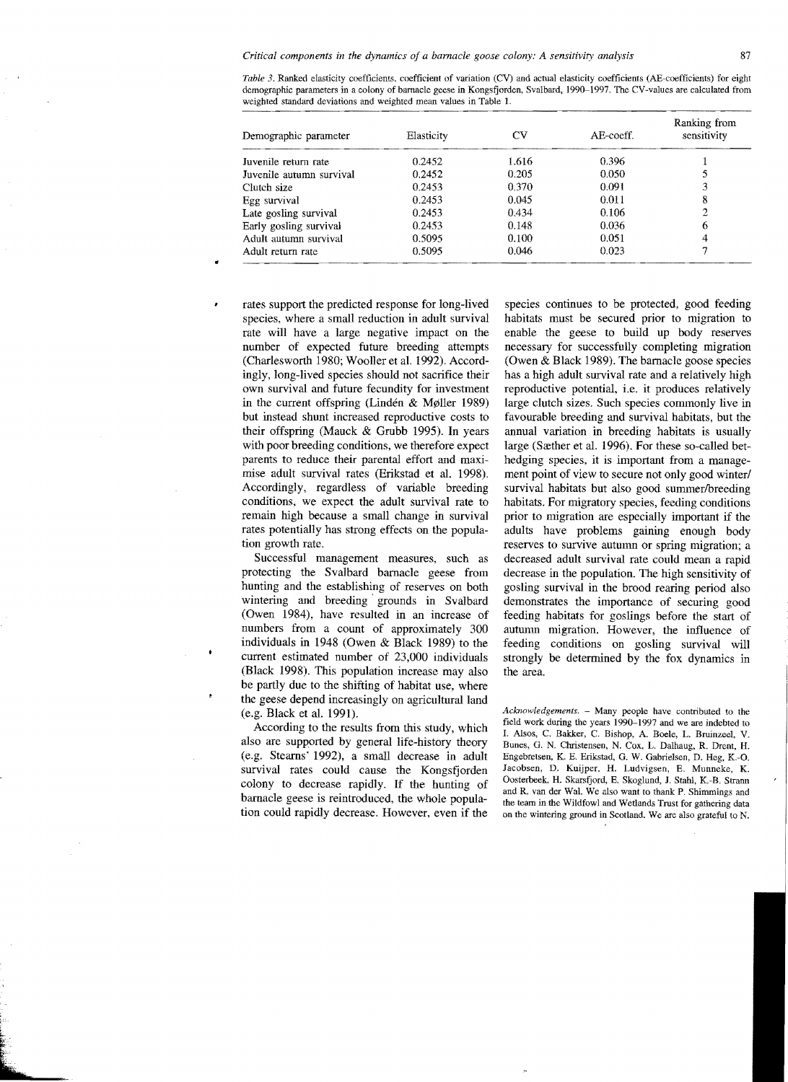| Demographic parameter    | Elasticity | CV    | AE-coeff. | Ranking from<br>sensitivity |  |
|--------------------------|------------|-------|-----------|-----------------------------|--|
| Juvenile return rate     | 0.2452     | 1.616 | 0.396     |                             |  |
| Juvenile autumn survival | 0.2452     | 0.205 | 0.050     |                             |  |
| Clutch size              | 0.2453     | 0.370 | 0.091     | 3                           |  |
| Egg survival             | 0.2453     | 0.045 | 0.011     | 8                           |  |
| Late gosling survival    | 0.2453     | 0.434 | 0.106     | 2                           |  |
| Early gosling survival   | 0.2453     | 0.148 | 0.036     | 6                           |  |
| Adult autumn survival    | 0.5095     | 0.100 | 0.051     | 4                           |  |
| Adult return rate        | 0.5095     | 0.046 | 0.023     | 7                           |  |

*Table* 3. Ranked elasticity coefficients, coefficient of variation (CV) and actual elasticity coefficients (AE-coefficients) for eight demographic parameters in a colony of barnacle geese in Kongsfjorden, SValbard, 1990--1997. The CV-values are calculated ftom weighted standard deviations and weighted mean values in Table 1.

rates support the predicted response for long-lived species, where a small reduction in adult survival rate will have a large negative impact on the number of expected future breeding attempts (Charlesworth 1980; Wooller et al. 1992). Accordingly, long-lived species should not sacrifice their own survival and future fecundity for investment in the current offspring (Lindén & Møller 1989) but instead shunt increased reproductive costs to their offspring (Mauck & Grubb 1995). In years with poor breeding conditions, we therefore expect parents to reduce their parental effort and maximise adult survival rates (Erikstad et al. 1998). Accordingly, regardless of variable breeding conditions, we expect the adult survival rate to remain high because a small change in survival rates potentially has strong effects on the population growth rate.

Successful management measures, such as protecting the Svalbard barnacle geese from hunting and the establishing of reserves on both wintering and breeding' grounds in Svalbard (Owen 1984), have resulted in an increase of numbers from a count of approximately 300 individuals in 1948 (Owen & Black 1989) to the current estimated number of 23,000 individuals (Black 1998). This population increase may also be partly due to the shifting of habitat use, where the geese depend increasingly on agricultural land (e.g. Black et al. 1991).

According to the results from this study, which also are supported by general life-history theory (e.g, Stearns' 1992), a small decrease in adult survival rates could cause the Kongsfjorden colony to decrease rapidly. If the hunting of barnacle geese is reintroduced, the whole population could rapidly decrease. However, even if the

species continues to be protected, good feeding habitats must be secured prior to migration to enable the geese to build up body reserves necessary for successfully completing migration (Owen & Black 1989). The barnacle goose species has a high adult survival rate and a relatively high reproductive potential, i.e. it produces relatively large clutch sizes. Such species commonly live in favourable breeding and survival habitats, but the annual variation in breeding habitats is usually large (Sæther et al. 1996). For these so-called bethedging species, it is important from a management point of view to secure not only good winter/ survival habitats but also good summer/breeding habitats. For migratory species, feeding conditions prior to migration are especially important if the adults have problems gaining enough body reserves to survive autumn or spring migration; a decreased adult survival rate could mean a rapid decrease in the population. The high sensitivity of gosling survival in the brood rearing period also demonstrates the importance of securing good feeding habitats for goslings before the start of autumn migration. However, the influence of feeding conditions on gosling survival will strongly be determined by the fox dynamics in the area.

*,4cknowledgements.* - Many people have contributed to the field work during the years 1990-1997 and we are indebted to I. Alsos, C. Bakker, C. Bishop, A. Boele, L. Bruinzeel, V. Bunes, G. N. Christensen, N. Cox, L. Dalhaug, R. Drent, H. Engebretsen, K E. Erikstad, G. W. Gabrielsen, D. Heg, K-O. Jacobsen, D. Kuijper. H. Ludvigsen, E. Munneke, K Oosterbeek. H. Skarsfjord, E. Skoglund, J. Stahl, K-B. Strann and R. van der Wal. We also want to thank P. Shimmings and the tearn in the Wildfowl and Wetlands Trust for gathering data on the wintering ground in Scotland. We are also grateful to N.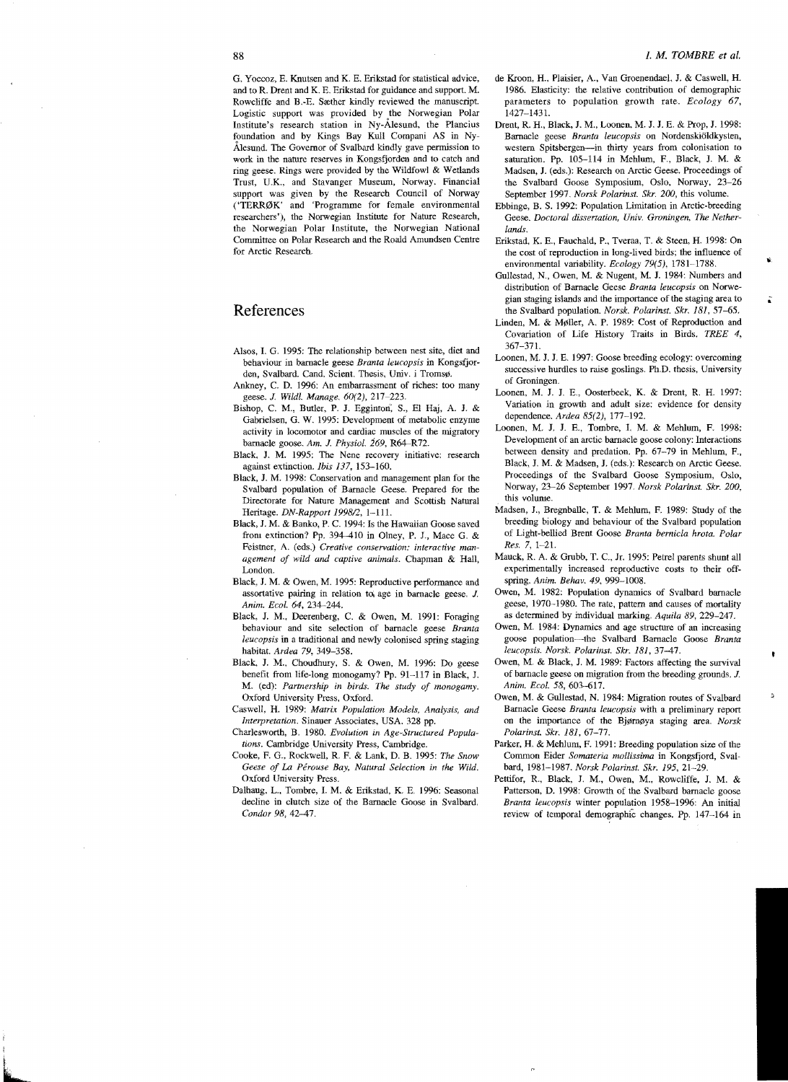G. Yoccoz, E. Knutsen and K. E. Erikstad for statistical advice, and to R. Drent and K. E. Erikstad for guidance and support. M. Rowcliffe and B.-E. Sæther kindly reviewed the manuscript. Logistic support was provided by the Norwegian Polar Institute's research station in NY-Alesund, the Plancius foundation and by Kings Bay Kull Compani AS in Ny-Alesund. The Governor of Svalbard kindly gave pennission to work in the nature reserves in Kongsfjorden and to catch and ring geese. Rings were provided by the Wildfowl & Wetlands Trust, U.K., and Stavanger Museum, Norway. Financial support was given by the Research Council of Norway ('TERRØK' and 'Programme for female environmental researchers'), the Norwegian Institute for Nature Research, the Norwegian Polar Institute, the Norwegian National Committee on Polar Research and the Roald Amundsen Centre for Arctic Research,

## **References**

- Alsos, I. G, 1995: The relatiouship between nest site, diet and behaviour in barnacle geese *Branta /eucopsis* in Kongsfjorden, Svalbard. Cand. Scient. Thesis, Univ. i Tromsø.
- Ankney, C. D. 1996: An embarrassment of riches: too many geese. J. *Wildt. Manage.* 60(2), 217-223.
- Bishop, c. M., Butler, P. J. Eggintori; S., EI Haj, A. J. & Gabrielsen, G. W. 1995: Development of metabolic enzyme activity in locomotor and cardiac muscles of the migratory barnacle goose. *Am.* J. *Physiol.* 269, R64-R72.
- Black, J. M. 1995: The Nene recovery initiative: research against extinction. *Ibis 137, 153-160.*
- Black, 1. M. 1998: Conservation and management plan for the Svalbard population of Barnacle Geese. Prepared for the Directorate for Nature Management and Scottish Natural Heritage. *DN-Rapport 199812,* 1-111.
- Black, 1. M. & Banko, P. C. 1994: Is the Hawaiian Goose saved from extinction? Pp. 394-410 in Olney, P. J., Mace G. & Feistner, A. (cds.) *Creative conservation: interactive management of wild and captive animals.* Chapman & Hall, London.
- Black, 1. M. & Owen, M. 1995: Reproductive perfonnance and assortative pairing in relation to age in barnacle geese.  $J$ . *Anim. Ecol.* 64, 234-244.
- Black, J. M., Deerenberg, C. & Owen, M. 1991: Foraging behaviour and site selection of barnacle geese *Branta leucopsis* in a traditional and newly colonised spring staging habitat. *Ardea* 79, 349-358.
- Black, J. M., Choudhury, S. & Owen, M. 1996: Do geese benefit from life-long monogamy? Pp. 91-117 in Black, J. M. (ed): Partnership in birds. The study of monogamy. Oxford University Press, Oxford.
- Caswell, H. 1989: *Matrix Population Models, Analysis, and Interpretation.* Sinauer Associates, USA. 328 pp.
- Charlesworth, B. 1980. *Evolution in Age-Structured Populations.* Cambridge University Press, Cambridge.
- Cooke, F. G., Rockwell, R F. & Lank, D. B. 1995: *The Snow Geese of La Perouse Bay, Natural Selection* in *the Wi/d.*  Oxford University Press.
- Dalhaug, L., Tombre, I. M. & Erikstad, K. E, 1996: Seasonal decline in clutch size of the Barnacle Goose in Svalbard, *Condor* 98, 42-47.
- de Kroon, H., Plaisier, A., Van Groenendael, J. & Caswell, H. 1986. Elasticity: the relative contribution of demographic parameters to population growth rate. *Ecology 67*, 1427-1431.
- Drent, R. H., Black, J. M., Loonen, M. J. J. E. & Prop, J. 1998: Barnacle geese *Branta leucopsis* on Nordenskiöldkysten, western Spitsbergen-in thirty years from colonisation to saturation. Pp. 105-114 in Mehlum, F., Black, J. M. & Madsen, J. (eds.): Research on Arctic Geese. Proceedings of the Svalbard Goose Symposium, Oslo, Norway, 23-26 September 1997. *Norsk Polarinst. Skr. 200,* this volume.
- Ebbinge, B. S. 1992: Population Limitation in Arctic.breeding Geese. *Doctoral dissertation, Univ. Groningen, The Netherlands.*
- Erikstad, K. E., Fauchald, P., Tveraa, T. & Steen, H. 1998: On the cost of reproduction in long-lived birds; the influence of environmental variability. *Ecology* 79(5), 1781-1788.
- Gnllestad, N., Owen, M. & Nugent, M. J. 1984: Numbers and distribution of Barnacle Geese *Branta leucopsis* on Norwegian staging islands and the importance of the staging area to the Svalbard population. *Norsk. Polarinst. Skr.* 181, 57-65.
- Linden, M. & Møller, A. P. 1989: Cost of Reproduction and Covariation of Life History Traits in Birds. *TREE* 4, 367-371.
- Loonen, M. J. J. E. 1997: Goose breeding ecology: overcoming successive hurdles to raise goslings. Ph.D. thesis, University of Groningen.
- Loonen, M. J. J. E., Oosterbeek, K. & Drent, R. H. 1997: Variation in growth and adult size: evidence for density dependence. *Ardea* 85(2), 177-192.
- Loonen, M. J. J. E., Tombre, 1. M. & Mehlum, F. 1998: Development of an arctic barnacle goose colony: Interactions between density and predation. Pp. 67-79 in Mehlum, F., Black, J. M. & Madsen, J. (eds.): Research on Arctic Geese. Proceedings of the Svalbard Goose Symposium, Oslo, Norway, 23-26 September 1997. *Norsk Polarinst. Skr. 200,* this volume.
- Madsen, J., Bregnballe, T. & Mehlum, F. 1989: Stndy of the breeding biology and behaviour of the Svalbard population of Light-bellied Brent Goose *Branta bernicla hrota. Polar Res.* 7, 1-21.
- Mauck, R. A. & Grubb, T. C., Jr. 1995: Petrel parents shunt all experimentally increased reproductive costs to their offspring. *Allim. Behav.* 49, 999-1008.
- Owen, M. 1982: Population dynamics of Svalbard barnacle geese, 1970-1980. The rate, pattern and causes of mortality as determined by individual marking. *Aquila* 89, 229-247.
- Owen, M. 1984: Dynamics and age structure of an increasing goose population-the Svalbard Barnacle Goose **Branta** *leucopsis. Norsk. Polarinst. Skr.* 181, 37-47.
- Owen, M. & Black, J. M. 1989: Factors affecting the survival of barnacle geese on migration from the breeding grounds. J. *Anim. Ecol.* 58,603-617.
- Owen, M. & Gnllestad, N. 1984: Migration routes of Svalbard Barnacle Geese *Branta leucopsis* with a preliminary report on the importance of the Bjørnøya staging area. *Norsk Polarinst. Skr. 181,* 67-77.
- Parker, H. & Mehlum, F. 1991: Breeding population size of the Common Eider *Somateria mollissima* in Kongsfjord, Svalbard, 1981-1987. *Norsk Polarinst. Skr.* 195,21-29.
- Pettifor, R., Black, J. M., Owen, M., Rowcliffe, J. M. & Patterson, D. 1998: Growth of the Svalbard barnacle goose *Branta /eucopsis* winter pepulation 1958-1996: An initial review of temporal demographic changes. Pp. 147-164 in